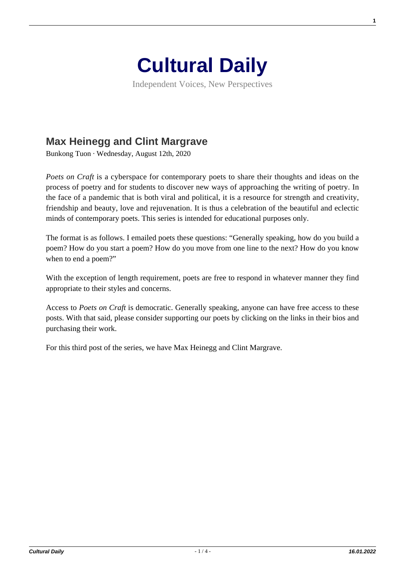

Independent Voices, New Perspectives

## **[Max Heinegg and Clint Margrave](https://culturaldaily.com/max-heinegg-and-clint-margrave/)**

Bunkong Tuon · Wednesday, August 12th, 2020

*Poets on Craft* is a cyberspace for contemporary poets to share their thoughts and ideas on the process of poetry and for students to discover new ways of approaching the writing of poetry. In the face of a pandemic that is both viral and political, it is a resource for strength and creativity, friendship and beauty, love and rejuvenation. It is thus a celebration of the beautiful and eclectic minds of contemporary poets. This series is intended for educational purposes only.

The format is as follows. I emailed poets these questions: "Generally speaking, how do you build a poem? How do you start a poem? How do you move from one line to the next? How do you know when to end a poem?"

With the exception of length requirement, poets are free to respond in whatever manner they find appropriate to their styles and concerns.

Access to *Poets on Craft* is democratic. Generally speaking, anyone can have free access to these posts. With that said, please consider supporting our poets by clicking on the links in their bios and purchasing their work.

For this third post of the series, we have Max Heinegg and Clint Margrave.

**1**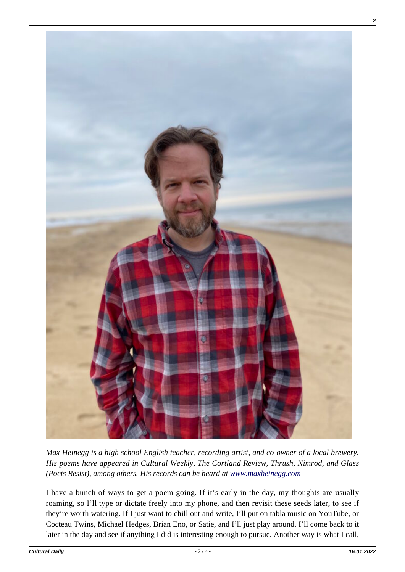

*Max Heinegg is a high school English teacher, recording artist, and co-owner of a local brewery. His poems have appeared in Cultural Weekly, The Cortland Review, Thrush, Nimrod, and Glass (Poets Resist), among others. His records can be heard at [www.maxheinegg.com](http://www.maxheinegg.com/)*

I have a bunch of ways to get a poem going. If it's early in the day, my thoughts are usually roaming, so I'll type or dictate freely into my phone, and then revisit these seeds later, to see if they're worth watering. If I just want to chill out and write, I'll put on tabla music on YouTube, or Cocteau Twins, Michael Hedges, Brian Eno, or Satie, and I'll just play around. I'll come back to it later in the day and see if anything I did is interesting enough to pursue. Another way is what I call,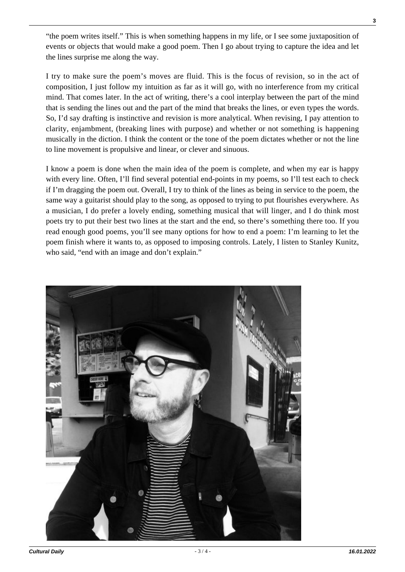"the poem writes itself." This is when something happens in my life, or I see some juxtaposition of events or objects that would make a good poem. Then I go about trying to capture the idea and let the lines surprise me along the way.

I try to make sure the poem's moves are fluid. This is the focus of revision, so in the act of composition, I just follow my intuition as far as it will go, with no interference from my critical mind. That comes later. In the act of writing, there's a cool interplay between the part of the mind that is sending the lines out and the part of the mind that breaks the lines, or even types the words. So, I'd say drafting is instinctive and revision is more analytical. When revising, I pay attention to clarity, enjambment, (breaking lines with purpose) and whether or not something is happening musically in the diction. I think the content or the tone of the poem dictates whether or not the line to line movement is propulsive and linear, or clever and sinuous.

I know a poem is done when the main idea of the poem is complete, and when my ear is happy with every line. Often, I'll find several potential end-points in my poems, so I'll test each to check if I'm dragging the poem out. Overall, I try to think of the lines as being in service to the poem, the same way a guitarist should play to the song, as opposed to trying to put flourishes everywhere. As a musician, I do prefer a lovely ending, something musical that will linger, and I do think most poets try to put their best two lines at the start and the end, so there's something there too. If you read enough good poems, you'll see many options for how to end a poem: I'm learning to let the poem finish where it wants to, as opposed to imposing controls. Lately, I listen to Stanley Kunitz, who said, "end with an image and don't explain."